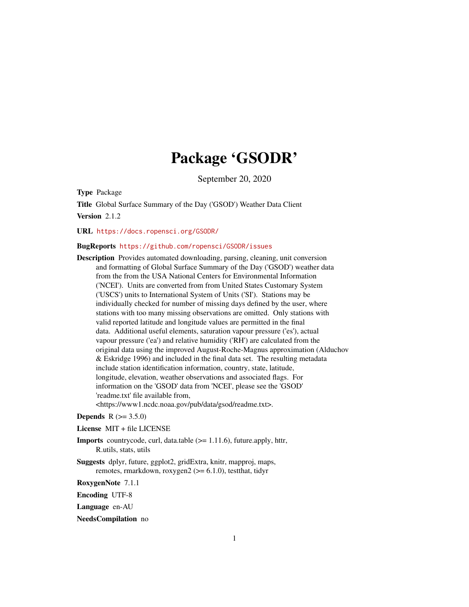## Package 'GSODR'

September 20, 2020

<span id="page-0-0"></span>Type Package

Title Global Surface Summary of the Day ('GSOD') Weather Data Client Version 2.1.2

URL <https://docs.ropensci.org/GSODR/>

#### BugReports <https://github.com/ropensci/GSODR/issues>

Description Provides automated downloading, parsing, cleaning, unit conversion and formatting of Global Surface Summary of the Day ('GSOD') weather data from the from the USA National Centers for Environmental Information ('NCEI'). Units are converted from from United States Customary System ('USCS') units to International System of Units ('SI'). Stations may be individually checked for number of missing days defined by the user, where stations with too many missing observations are omitted. Only stations with valid reported latitude and longitude values are permitted in the final data. Additional useful elements, saturation vapour pressure ('es'), actual vapour pressure ('ea') and relative humidity ('RH') are calculated from the original data using the improved August-Roche-Magnus approximation (Alduchov & Eskridge 1996) and included in the final data set. The resulting metadata include station identification information, country, state, latitude, longitude, elevation, weather observations and associated flags. For information on the 'GSOD' data from 'NCEI', please see the 'GSOD' 'readme.txt' file available from, <https://www1.ncdc.noaa.gov/pub/data/gsod/readme.txt>.

**Depends**  $R (= 3.5.0)$ 

License MIT + file LICENSE

Imports countrycode, curl, data.table (>= 1.11.6), future.apply, httr, R.utils, stats, utils

Suggests dplyr, future, ggplot2, gridExtra, knitr, mapproj, maps, remotes, rmarkdown, roxygen2 (>= 6.1.0), testthat, tidyr

RoxygenNote 7.1.1

Encoding UTF-8

Language en-AU

NeedsCompilation no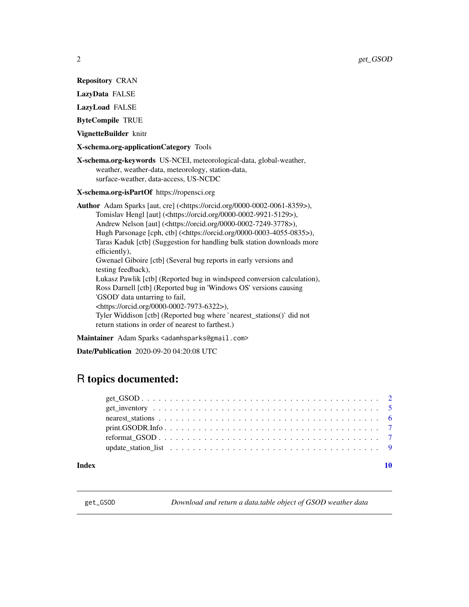<span id="page-1-0"></span>Repository CRAN

LazyData FALSE

LazyLoad FALSE

ByteCompile TRUE

VignetteBuilder knitr

X-schema.org-applicationCategory Tools

X-schema.org-keywords US-NCEI, meteorological-data, global-weather, weather, weather-data, meteorology, station-data, surface-weather, data-access, US-NCDC

X-schema.org-isPartOf https://ropensci.org

Author Adam Sparks [aut, cre] (<https://orcid.org/0000-0002-0061-8359>), Tomislav Hengl [aut] (<https://orcid.org/0000-0002-9921-5129>), Andrew Nelson [aut] (<https://orcid.org/0000-0002-7249-3778>), Hugh Parsonage [cph, ctb] (<https://orcid.org/0000-0003-4055-0835>), Taras Kaduk [ctb] (Suggestion for handling bulk station downloads more efficiently), Gwenael Giboire [ctb] (Several bug reports in early versions and testing feedback), Łukasz Pawlik [ctb] (Reported bug in windspeed conversion calculation), Ross Darnell [ctb] (Reported bug in 'Windows OS' versions causing 'GSOD' data untarring to fail, <https://orcid.org/0000-0002-7973-6322>), Tyler Widdison [ctb] (Reported bug where `nearest\_stations()` did not return stations in order of nearest to farthest.)

Maintainer Adam Sparks <adamhsparks@gmail.com>

Date/Publication 2020-09-20 04:20:08 UTC

### R topics documented:

#### $\blacksquare$

<span id="page-1-1"></span>get\_GSOD *Download and return a data.table object of GSOD weather data*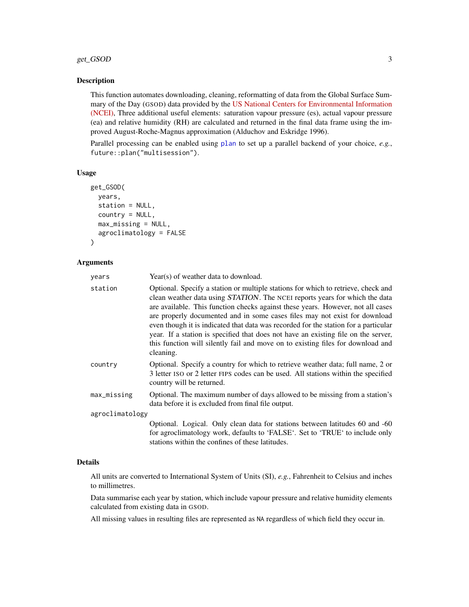#### <span id="page-2-0"></span>get\_GSOD 3

#### **Description**

This function automates downloading, cleaning, reformatting of data from the Global Surface Summary of the Day (GSOD) data provided by the [US National Centers for Environmental Information](https://data.noaa.gov/dataset/dataset/global-surface-summary-of-the-day-gsod) [\(NCEI\),](https://data.noaa.gov/dataset/dataset/global-surface-summary-of-the-day-gsod) Three additional useful elements: saturation vapour pressure (es), actual vapour pressure (ea) and relative humidity (RH) are calculated and returned in the final data frame using the improved August-Roche-Magnus approximation (Alduchov and Eskridge 1996).

Parallel processing can be enabled using [plan](#page-0-0) to set up a parallel backend of your choice, *e.g.*, future::plan("multisession").

#### Usage

```
get_GSOD(
  years,
  station = NULL,
  country = NULL,
  max_missing = NULL,
  agroclimatology = FALSE
)
```
#### Arguments

| years           | Year(s) of weather data to download.                                                                                                                                                                                                                                                                                                                                                                                                                                                                                                                                                                           |
|-----------------|----------------------------------------------------------------------------------------------------------------------------------------------------------------------------------------------------------------------------------------------------------------------------------------------------------------------------------------------------------------------------------------------------------------------------------------------------------------------------------------------------------------------------------------------------------------------------------------------------------------|
| station         | Optional. Specify a station or multiple stations for which to retrieve, check and<br>clean weather data using STATION. The NCEI reports years for which the data<br>are available. This function checks against these years. However, not all cases<br>are properly documented and in some cases files may not exist for download<br>even though it is indicated that data was recorded for the station for a particular<br>year. If a station is specified that does not have an existing file on the server,<br>this function will silently fail and move on to existing files for download and<br>cleaning. |
| country         | Optional. Specify a country for which to retrieve weather data; full name, 2 or<br>3 letter ISO or 2 letter FIPS codes can be used. All stations within the specified<br>country will be returned.                                                                                                                                                                                                                                                                                                                                                                                                             |
| max_missing     | Optional. The maximum number of days allowed to be missing from a station's<br>data before it is excluded from final file output.                                                                                                                                                                                                                                                                                                                                                                                                                                                                              |
| agroclimatology |                                                                                                                                                                                                                                                                                                                                                                                                                                                                                                                                                                                                                |
|                 | Optional. Logical. Only clean data for stations between latitudes 60 and -60<br>for agroclimatology work, defaults to 'FALSE'. Set to 'TRUE' to include only<br>stations within the confines of these latitudes.                                                                                                                                                                                                                                                                                                                                                                                               |

#### Details

All units are converted to International System of Units (SI), *e.g.*, Fahrenheit to Celsius and inches to millimetres.

Data summarise each year by station, which include vapour pressure and relative humidity elements calculated from existing data in GSOD.

All missing values in resulting files are represented as NA regardless of which field they occur in.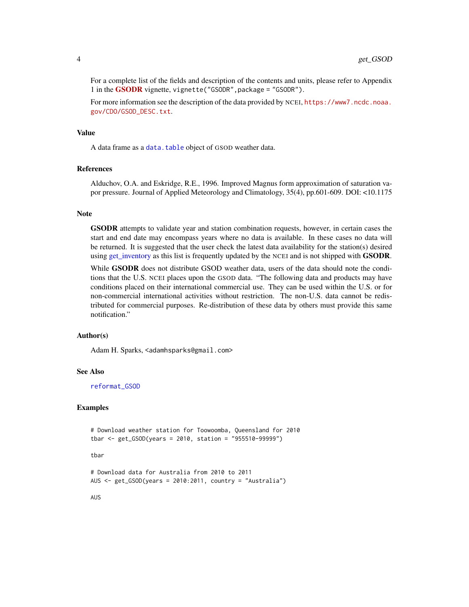<span id="page-3-0"></span>For a complete list of the fields and description of the contents and units, please refer to Appendix 1 in the [GSODR](https://CRAN.R-project.org/package=GSODR) vignette, vignette("GSODR",package = "GSODR").

For more information see the description of the data provided by NCEI, [https://www7.ncdc.noaa.](https://www7.ncdc.noaa.gov/CDO/GSOD_DESC.txt) [gov/CDO/GSOD\\_DESC.txt](https://www7.ncdc.noaa.gov/CDO/GSOD_DESC.txt).

#### Value

A data frame as a [data.table](#page-0-0) object of GSOD weather data.

#### References

Alduchov, O.A. and Eskridge, R.E., 1996. Improved Magnus form approximation of saturation vapor pressure. Journal of Applied Meteorology and Climatology, 35(4), pp.601-609. DOI: <10.1175

#### **Note**

GSODR attempts to validate year and station combination requests, however, in certain cases the start and end date may encompass years where no data is available. In these cases no data will be returned. It is suggested that the user check the latest data availability for the station(s) desired using [get\\_inventory](#page-4-1) as this list is frequently updated by the NCEI and is not shipped with **GSODR**.

While **GSODR** does not distribute GSOD weather data, users of the data should note the conditions that the U.S. NCEI places upon the GSOD data. "The following data and products may have conditions placed on their international commercial use. They can be used within the U.S. or for non-commercial international activities without restriction. The non-U.S. data cannot be redistributed for commercial purposes. Re-distribution of these data by others must provide this same notification."

#### Author(s)

Adam H. Sparks, <adamhsparks@gmail.com>

#### See Also

[reformat\\_GSOD](#page-6-1)

#### Examples

```
# Download weather station for Toowoomba, Queensland for 2010
tbar <- get_GSOD(years = 2010, station = "955510-99999")
```
#### tbar

# Download data for Australia from 2010 to 2011 AUS <- get\_GSOD(years = 2010:2011, country = "Australia")

AUS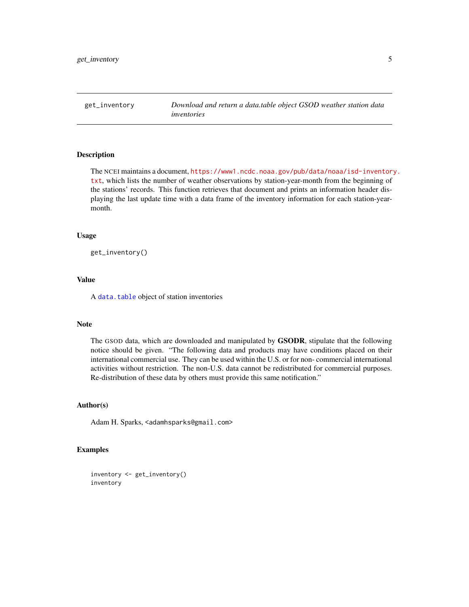<span id="page-4-1"></span><span id="page-4-0"></span>get\_inventory *Download and return a data.table object GSOD weather station data inventories*

#### Description

The NCEI maintains a document, [https://www1.ncdc.noaa.gov/pub/data/noaa/isd-inventor](https://www1.ncdc.noaa.gov/pub/data/noaa/isd-inventory.txt)y. [txt](https://www1.ncdc.noaa.gov/pub/data/noaa/isd-inventory.txt), which lists the number of weather observations by station-year-month from the beginning of the stations' records. This function retrieves that document and prints an information header displaying the last update time with a data frame of the inventory information for each station-yearmonth.

#### Usage

get\_inventory()

#### Value

A [data.table](#page-0-0) object of station inventories

#### Note

The GSOD data, which are downloaded and manipulated by GSODR, stipulate that the following notice should be given. "The following data and products may have conditions placed on their international commercial use. They can be used within the U.S. or for non- commercial international activities without restriction. The non-U.S. data cannot be redistributed for commercial purposes. Re-distribution of these data by others must provide this same notification."

#### Author(s)

Adam H. Sparks, <adamhsparks@gmail.com>

#### Examples

inventory <- get\_inventory() inventory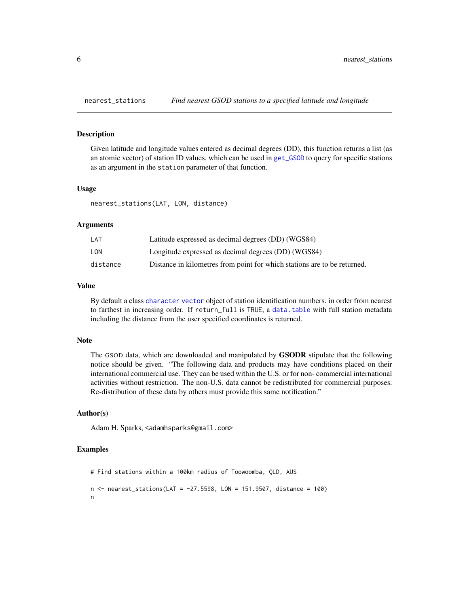<span id="page-5-0"></span>

#### Description

Given latitude and longitude values entered as decimal degrees (DD), this function returns a list (as an atomic vector) of station ID values, which can be used in [get\\_GSOD](#page-1-1) to query for specific stations as an argument in the station parameter of that function.

#### Usage

nearest\_stations(LAT, LON, distance)

#### Arguments

| LAT      | Latitude expressed as decimal degrees (DD) (WGS84)                       |
|----------|--------------------------------------------------------------------------|
| LON      | Longitude expressed as decimal degrees (DD) (WGS84)                      |
| distance | Distance in kilometres from point for which stations are to be returned. |

#### Value

By default a class [character](#page-0-0) [vector](#page-0-0) object of station identification numbers. in order from nearest to farthest in increasing order. If return\_full is TRUE, a [data.table](#page-0-0) with full station metadata including the distance from the user specified coordinates is returned.

#### Note

The GSOD data, which are downloaded and manipulated by GSODR stipulate that the following notice should be given. "The following data and products may have conditions placed on their international commercial use. They can be used within the U.S. or for non- commercial international activities without restriction. The non-U.S. data cannot be redistributed for commercial purposes. Re-distribution of these data by others must provide this same notification."

#### Author(s)

Adam H. Sparks, <adamhsparks@gmail.com>

#### Examples

```
# Find stations within a 100km radius of Toowoomba, QLD, AUS
n < - nearest_stations(LAT = -27.5598, LON = 151.9507, distance = 100)
n
```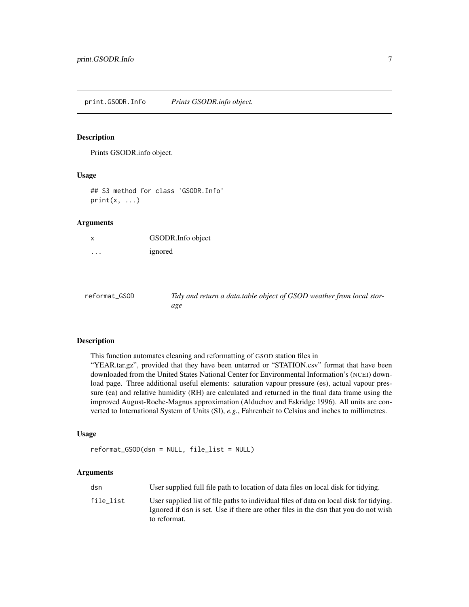<span id="page-6-0"></span>print.GSODR.Info *Prints GSODR.info object.*

#### Description

Prints GSODR.info object.

#### Usage

```
## S3 method for class 'GSODR.Info'
print(x, \ldots)
```
#### Arguments

| x | GSODR. Info object |
|---|--------------------|
| . | ignored            |

<span id="page-6-1"></span>

| reformat_GSOD | Tidy and return a data.table object of GSOD weather from local stor- |
|---------------|----------------------------------------------------------------------|
|               | age                                                                  |

#### Description

This function automates cleaning and reformatting of GSOD station files in

"YEAR.tar.gz", provided that they have been untarred or "STATION.csv" format that have been downloaded from the United States National Center for Environmental Information's (NCEI) download page. Three additional useful elements: saturation vapour pressure (es), actual vapour pressure (ea) and relative humidity (RH) are calculated and returned in the final data frame using the improved August-Roche-Magnus approximation (Alduchov and Eskridge 1996). All units are converted to International System of Units (SI), *e.g.*, Fahrenheit to Celsius and inches to millimetres.

#### Usage

```
reformat_GSOD(dsn = NULL, file_list = NULL)
```
#### Arguments

| dsn       | User supplied full file path to location of data files on local disk for tidying.                                                                                                              |
|-----------|------------------------------------------------------------------------------------------------------------------------------------------------------------------------------------------------|
| file list | User supplied list of file paths to individual files of data on local disk for tidying.<br>Ignored if dsn is set. Use if there are other files in the dsn that you do not wish<br>to reformat. |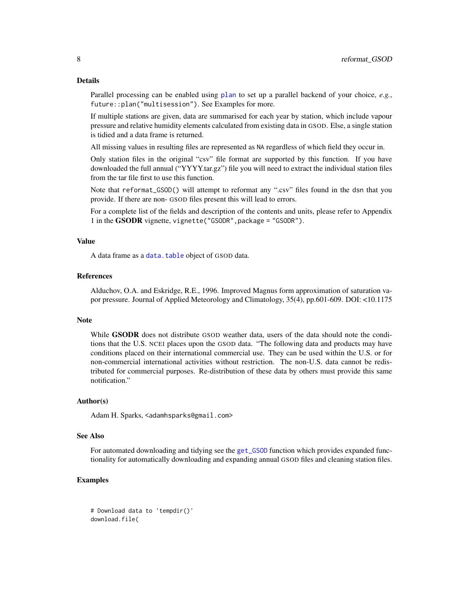<span id="page-7-0"></span>Parallel processing can be enabled using [plan](#page-0-0) to set up a parallel backend of your choice, *e.g.*, future::plan("multisession"). See Examples for more.

If multiple stations are given, data are summarised for each year by station, which include vapour pressure and relative humidity elements calculated from existing data in GSOD. Else, a single station is tidied and a data frame is returned.

All missing values in resulting files are represented as NA regardless of which field they occur in.

Only station files in the original "csv" file format are supported by this function. If you have downloaded the full annual ("YYYY.tar.gz") file you will need to extract the individual station files from the tar file first to use this function.

Note that reformat\_GSOD() will attempt to reformat any ".csv" files found in the dsn that you provide. If there are non- GSOD files present this will lead to errors.

For a complete list of the fields and description of the contents and units, please refer to Appendix 1 in the GSODR vignette, vignette("GSODR",package = "GSODR").

#### Value

A data frame as a [data.table](#page-0-0) object of GSOD data.

#### References

Alduchov, O.A. and Eskridge, R.E., 1996. Improved Magnus form approximation of saturation vapor pressure. Journal of Applied Meteorology and Climatology, 35(4), pp.601-609. DOI: <10.1175

#### **Note**

While **GSODR** does not distribute GSOD weather data, users of the data should note the conditions that the U.S. NCEI places upon the GSOD data. "The following data and products may have conditions placed on their international commercial use. They can be used within the U.S. or for non-commercial international activities without restriction. The non-U.S. data cannot be redistributed for commercial purposes. Re-distribution of these data by others must provide this same notification."

#### Author(s)

Adam H. Sparks, <adamhsparks@gmail.com>

#### See Also

For automated downloading and tidying see the [get\\_GSOD](#page-1-1) function which provides expanded functionality for automatically downloading and expanding annual GSOD files and cleaning station files.

#### Examples

```
# Download data to 'tempdir()'
download.file(
```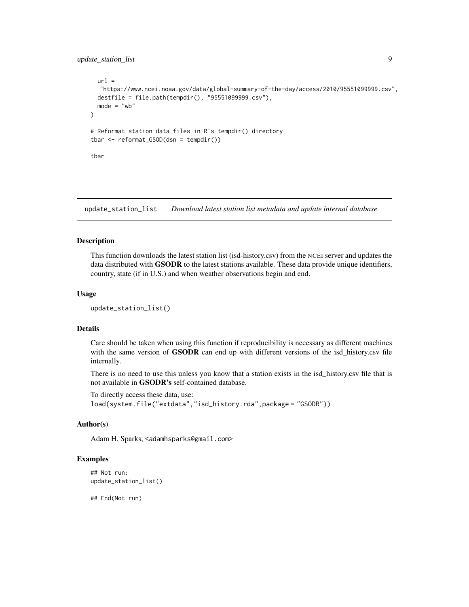#### <span id="page-8-0"></span>update\_station\_list 9

```
url ="https://www.ncei.noaa.gov/data/global-summary-of-the-day/access/2010/95551099999.csv",
 destfile = file.path(tempdir(), "95551099999.csv"),
 mode = "wb")
# Reformat station data files in R's tempdir() directory
tbar <- reformat_GSOD(dsn = tempdir())
tbar
```
update\_station\_list *Download latest station list metadata and update internal database*

#### Description

This function downloads the latest station list (isd-history.csv) from the NCEI server and updates the data distributed with **GSODR** to the latest stations available. These data provide unique identifiers, country, state (if in U.S.) and when weather observations begin and end.

#### Usage

```
update_station_list()
```
#### Details

Care should be taken when using this function if reproducibility is necessary as different machines with the same version of **GSODR** can end up with different versions of the isd\_history.csv file internally.

There is no need to use this unless you know that a station exists in the isd\_history.csv file that is not available in GSODR's self-contained database.

To directly access these data, use: load(system.file("extdata","isd\_history.rda",package = "GSODR"))

#### Author(s)

Adam H. Sparks, <adamhsparks@gmail.com>

#### Examples

```
## Not run:
update_station_list()
```
## End(Not run)